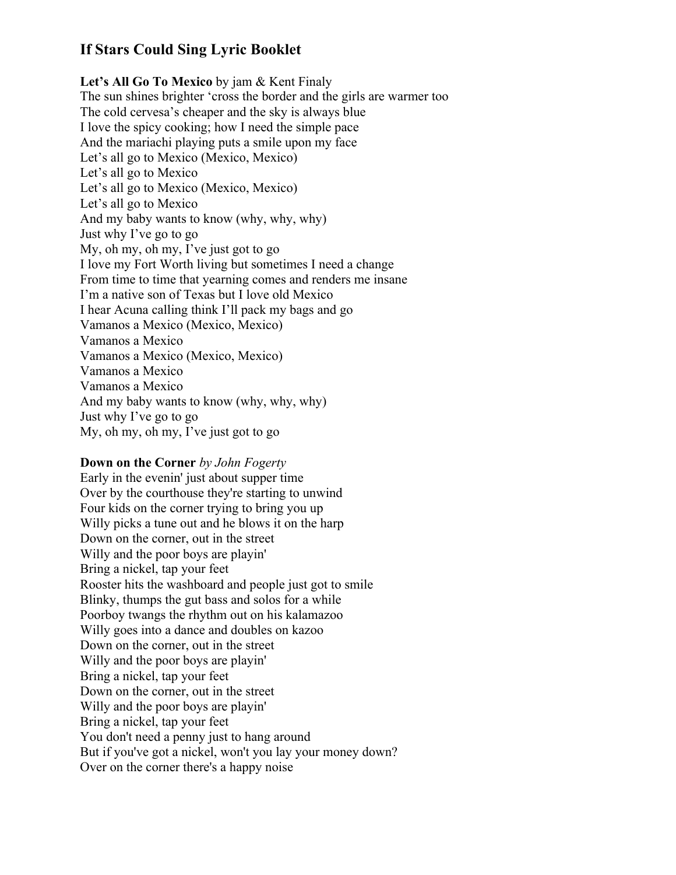# **If Stars Could Sing Lyric Booklet**

**Let's All Go To Mexico** by jam & Kent Finaly The sun shines brighter 'cross the border and the girls are warmer too The cold cervesa's cheaper and the sky is always blue I love the spicy cooking; how I need the simple pace And the mariachi playing puts a smile upon my face Let's all go to Mexico (Mexico, Mexico) Let's all go to Mexico Let's all go to Mexico (Mexico, Mexico) Let's all go to Mexico And my baby wants to know (why, why, why) Just why I've go to go My, oh my, oh my, I've just got to go I love my Fort Worth living but sometimes I need a change From time to time that yearning comes and renders me insane I'm a native son of Texas but I love old Mexico I hear Acuna calling think I'll pack my bags and go Vamanos a Mexico (Mexico, Mexico) Vamanos a Mexico Vamanos a Mexico (Mexico, Mexico) Vamanos a Mexico Vamanos a Mexico And my baby wants to know (why, why, why) Just why I've go to go My, oh my, oh my, I've just got to go

## **Down on the Corner** *by John Fogerty*

Early in the evenin' just about supper time Over by the courthouse they're starting to unwind Four kids on the corner trying to bring you up Willy picks a tune out and he blows it on the harp Down on the corner, out in the street Willy and the poor boys are playin' Bring a nickel, tap your feet Rooster hits the washboard and people just got to smile Blinky, thumps the gut bass and solos for a while Poorboy twangs the rhythm out on his kalamazoo Willy goes into a dance and doubles on kazoo Down on the corner, out in the street Willy and the poor boys are playin' Bring a nickel, tap your feet Down on the corner, out in the street Willy and the poor boys are playin' Bring a nickel, tap your feet You don't need a penny just to hang around But if you've got a nickel, won't you lay your money down? Over on the corner there's a happy noise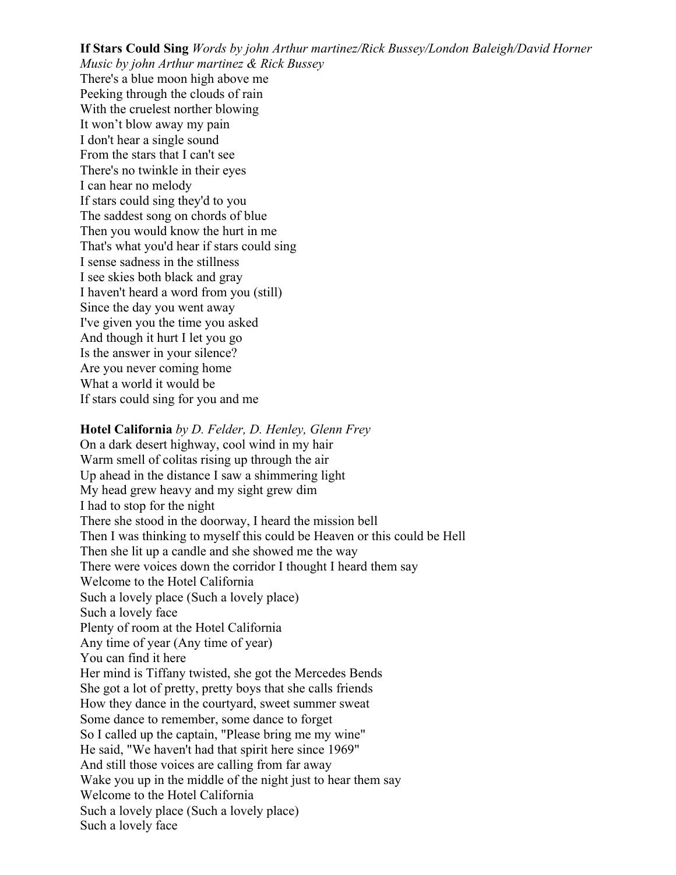**If Stars Could Sing** *Words by john Arthur martinez/Rick Bussey/London Baleigh/David Horner Music by john Arthur martinez & Rick Bussey*

There's a blue moon high above me Peeking through the clouds of rain With the cruelest norther blowing It won't blow away my pain I don't hear a single sound From the stars that I can't see There's no twinkle in their eyes I can hear no melody If stars could sing they'd to you The saddest song on chords of blue Then you would know the hurt in me That's what you'd hear if stars could sing I sense sadness in the stillness I see skies both black and gray I haven't heard a word from you (still) Since the day you went away I've given you the time you asked And though it hurt I let you go Is the answer in your silence? Are you never coming home. What a world it would be If stars could sing for you and me

### **Hotel California** *by D. Felder, D. Henley, Glenn Frey*

On a dark desert highway, cool wind in my hair Warm smell of colitas rising up through the air Up ahead in the distance I saw a shimmering light My head grew heavy and my sight grew dim I had to stop for the night There she stood in the doorway, I heard the mission bell Then I was thinking to myself this could be Heaven or this could be Hell Then she lit up a candle and she showed me the way There were voices down the corridor I thought I heard them say Welcome to the Hotel California Such a lovely place (Such a lovely place) Such a lovely face Plenty of room at the Hotel California Any time of year (Any time of year) You can find it here Her mind is Tiffany twisted, she got the Mercedes Bends She got a lot of pretty, pretty boys that she calls friends How they dance in the courtyard, sweet summer sweat Some dance to remember, some dance to forget So I called up the captain, "Please bring me my wine" He said, "We haven't had that spirit here since 1969" And still those voices are calling from far away Wake you up in the middle of the night just to hear them say Welcome to the Hotel California Such a lovely place (Such a lovely place) Such a lovely face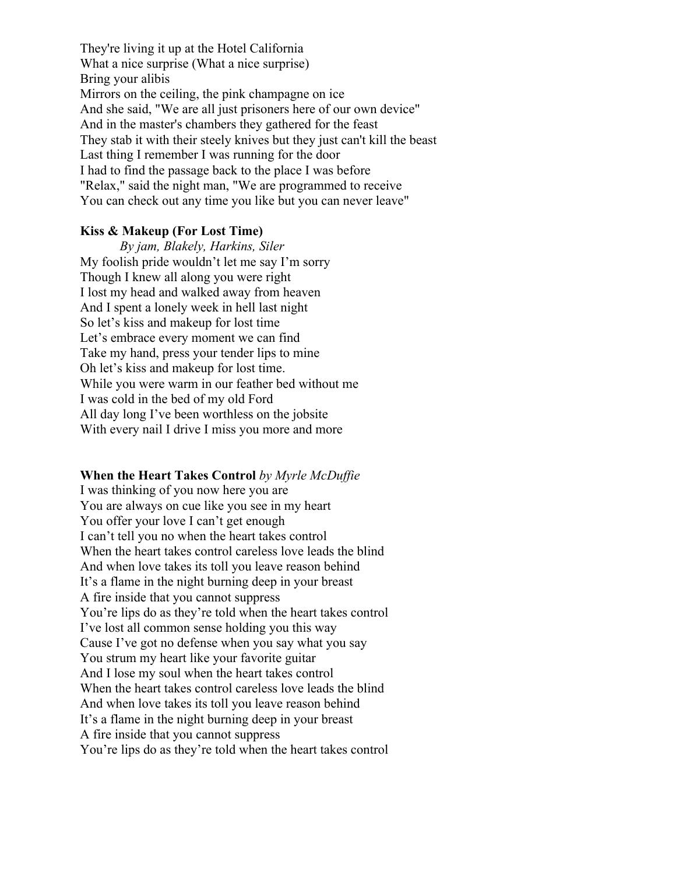They're living it up at the Hotel California What a nice surprise (What a nice surprise) Bring your alibis Mirrors on the ceiling, the pink champagne on ice And she said, "We are all just prisoners here of our own device" And in the master's chambers they gathered for the feast They stab it with their steely knives but they just can't kill the beast Last thing I remember I was running for the door I had to find the passage back to the place I was before "Relax," said the night man, "We are programmed to receive You can check out any time you like but you can never leave"

#### **Kiss & Makeup (For Lost Time)**

*By jam, Blakely, Harkins, Siler* My foolish pride wouldn't let me say I'm sorry Though I knew all along you were right I lost my head and walked away from heaven And I spent a lonely week in hell last night So let's kiss and makeup for lost time Let's embrace every moment we can find Take my hand, press your tender lips to mine Oh let's kiss and makeup for lost time. While you were warm in our feather bed without me I was cold in the bed of my old Ford All day long I've been worthless on the jobsite With every nail I drive I miss you more and more

### **When the Heart Takes Control** *by Myrle McDuffie*

I was thinking of you now here you are You are always on cue like you see in my heart You offer your love I can't get enough I can't tell you no when the heart takes control When the heart takes control careless love leads the blind And when love takes its toll you leave reason behind It's a flame in the night burning deep in your breast A fire inside that you cannot suppress You're lips do as they're told when the heart takes control I've lost all common sense holding you this way Cause I've got no defense when you say what you say You strum my heart like your favorite guitar And I lose my soul when the heart takes control When the heart takes control careless love leads the blind And when love takes its toll you leave reason behind It's a flame in the night burning deep in your breast A fire inside that you cannot suppress You're lips do as they're told when the heart takes control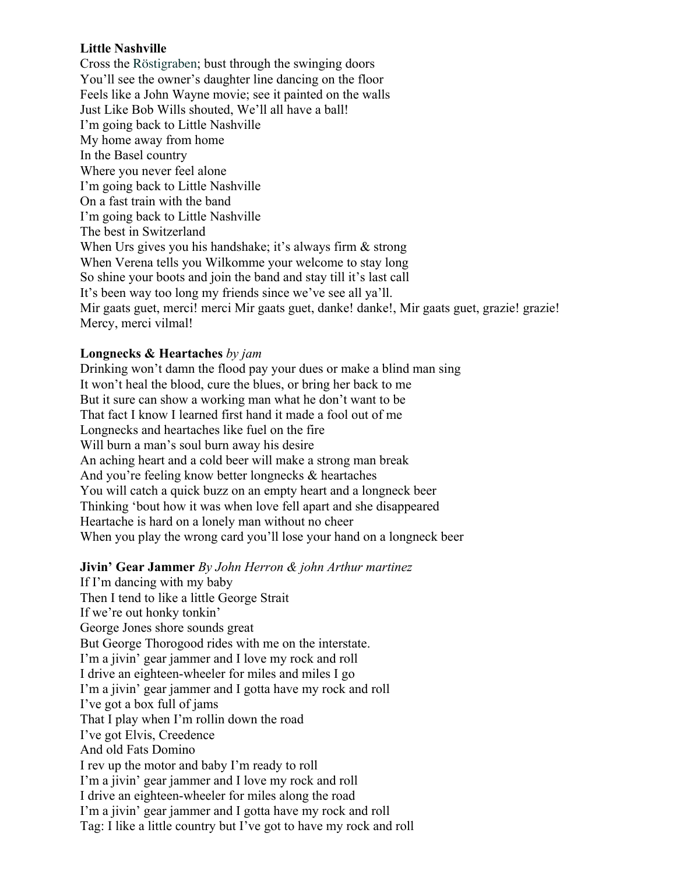# **Little Nashville**

Cross the Röstigraben; bust through the swinging doors You'll see the owner's daughter line dancing on the floor Feels like a John Wayne movie; see it painted on the walls Just Like Bob Wills shouted, We'll all have a ball! I'm going back to Little Nashville My home away from home In the Basel country Where you never feel alone I'm going back to Little Nashville On a fast train with the band I'm going back to Little Nashville The best in Switzerland When Urs gives you his handshake; it's always firm & strong When Verena tells you Wilkomme your welcome to stay long So shine your boots and join the band and stay till it's last call It's been way too long my friends since we've see all ya'll. Mir gaats guet, merci! merci Mir gaats guet, danke! danke!, Mir gaats guet, grazie! grazie! Mercy, merci vilmal!

## **Longnecks & Heartaches** *by jam*

Drinking won't damn the flood pay your dues or make a blind man sing It won't heal the blood, cure the blues, or bring her back to me But it sure can show a working man what he don't want to be That fact I know I learned first hand it made a fool out of me Longnecks and heartaches like fuel on the fire Will burn a man's soul burn away his desire An aching heart and a cold beer will make a strong man break And you're feeling know better longnecks & heartaches You will catch a quick buzz on an empty heart and a longneck beer Thinking 'bout how it was when love fell apart and she disappeared Heartache is hard on a lonely man without no cheer When you play the wrong card you'll lose your hand on a longneck beer

# **Jivin' Gear Jammer** *By John Herron & john Arthur martinez*

If I'm dancing with my baby Then I tend to like a little George Strait If we're out honky tonkin' George Jones shore sounds great But George Thorogood rides with me on the interstate. I'm a jivin' gear jammer and I love my rock and roll I drive an eighteen-wheeler for miles and miles I go I'm a jivin' gear jammer and I gotta have my rock and roll I've got a box full of jams That I play when I'm rollin down the road I've got Elvis, Creedence And old Fats Domino I rev up the motor and baby I'm ready to roll I'm a jivin' gear jammer and I love my rock and roll I drive an eighteen-wheeler for miles along the road I'm a jivin' gear jammer and I gotta have my rock and roll Tag: I like a little country but I've got to have my rock and roll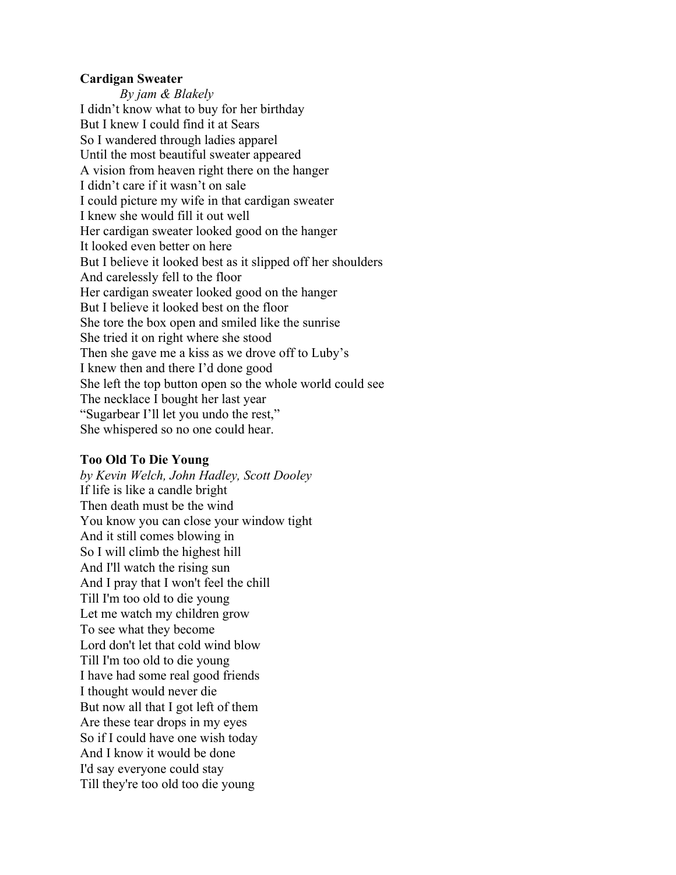#### **Cardigan Sweater**

*By jam & Blakely* I didn't know what to buy for her birthday But I knew I could find it at Sears So I wandered through ladies apparel Until the most beautiful sweater appeared A vision from heaven right there on the hanger I didn't care if it wasn't on sale I could picture my wife in that cardigan sweater I knew she would fill it out well Her cardigan sweater looked good on the hanger It looked even better on here But I believe it looked best as it slipped off her shoulders And carelessly fell to the floor Her cardigan sweater looked good on the hanger But I believe it looked best on the floor She tore the box open and smiled like the sunrise She tried it on right where she stood Then she gave me a kiss as we drove off to Luby's I knew then and there I'd done good She left the top button open so the whole world could see The necklace I bought her last year "Sugarbear I'll let you undo the rest," She whispered so no one could hear.

#### **Too Old To Die Young**

*by Kevin Welch, John Hadley, Scott Dooley* If life is like a candle bright Then death must be the wind You know you can close your window tight And it still comes blowing in So I will climb the highest hill And I'll watch the rising sun And I pray that I won't feel the chill Till I'm too old to die young Let me watch my children grow To see what they become Lord don't let that cold wind blow Till I'm too old to die young I have had some real good friends I thought would never die But now all that I got left of them Are these tear drops in my eyes So if I could have one wish today And I know it would be done I'd say everyone could stay Till they're too old too die young